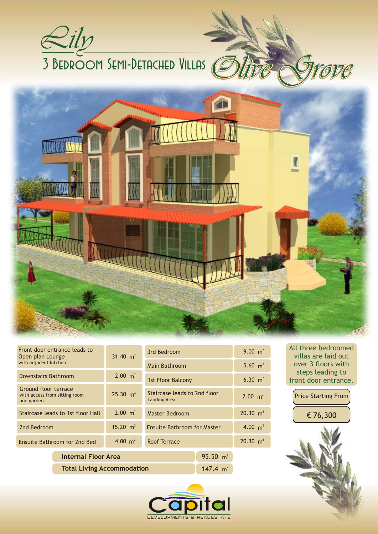

| Front door entrance leads to -<br>Open plan Lounge<br>with adjacent kitchen |                            | 31.40 $m2$          | 3rd Bedroom                                         |             | 9.00 $m^2$          |
|-----------------------------------------------------------------------------|----------------------------|---------------------|-----------------------------------------------------|-------------|---------------------|
|                                                                             |                            |                     | Main Bathroom                                       |             | 5.60 $m^2$          |
| Downstairs Bathroom                                                         |                            | 2.00 $m^2$          | <b>1st Floor Balcony</b>                            |             | 6.30 $m2$           |
| Ground floor terrace<br>with access from sitting room<br>and garden         |                            | $25.30 \text{ m}^2$ | Staircase leads to 2nd floor<br><b>Landing Area</b> |             | $2.00 \text{ m}^2$  |
| Staircase leads to 1st floor Hall                                           |                            | $2.00 \text{ m}^2$  | Master Bedroom                                      |             | $20.30 \text{ m}^2$ |
| 2nd Bedroom                                                                 |                            | 15.20 $m^2$         | <b>Ensuite Bathroom for Master</b>                  |             | 4.00 $m2$           |
| Ensuite Bathroom for 2nd Bed                                                |                            | 4.00 $m^2$          | Roof Terrace                                        |             | $20.30 \text{ m}^2$ |
|                                                                             | <b>Internal Floor Area</b> |                     |                                                     | 95.50 $m^2$ |                     |
| <b>Total Living Accommodation</b>                                           |                            |                     | 147.4 $m^2$                                         |             |                     |



All three bedroomed villas are laid out over 3 floors with steps leading to front door entrance.

Price Starting From € 76,300